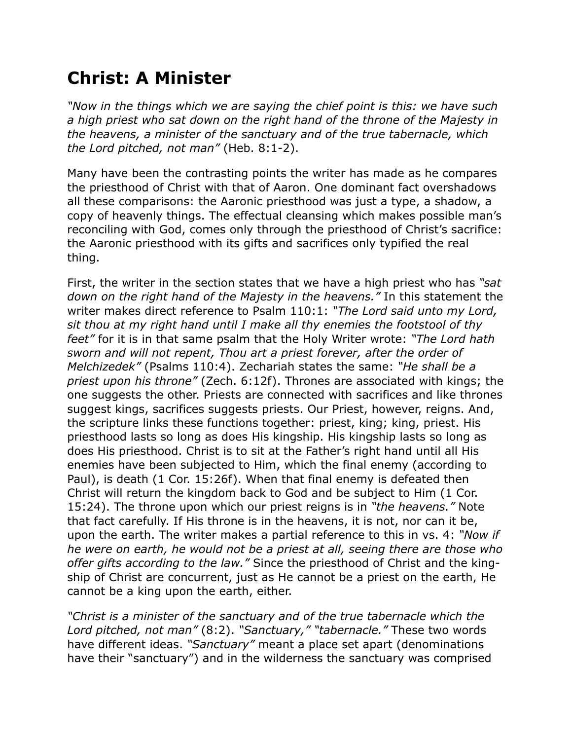## **Christ: A Minister**

*"Now in the things which we are saying the chief point is this: we have such a high priest who sat down on the right hand of the throne of the Majesty in the heavens, a minister of the sanctuary and of the true tabernacle, which the Lord pitched, not man"* (Heb. 8:1-2).

Many have been the contrasting points the writer has made as he compares the priesthood of Christ with that of Aaron. One dominant fact overshadows all these comparisons: the Aaronic priesthood was just a type, a shadow, a copy of heavenly things. The effectual cleansing which makes possible man's reconciling with God, comes only through the priesthood of Christ's sacrifice: the Aaronic priesthood with its gifts and sacrifices only typified the real thing.

First, the writer in the section states that we have a high priest who has *"sat down on the right hand of the Majesty in the heavens."* In this statement the writer makes direct reference to Psalm 110:1: *"The Lord said unto my Lord, sit thou at my right hand until I make all thy enemies the footstool of thy feet"* for it is in that same psalm that the Holy Writer wrote: *"The Lord hath sworn and will not repent, Thou art a priest forever, after the order of Melchizedek"* (Psalms 110:4). Zechariah states the same: *"He shall be a priest upon his throne"* (Zech. 6:12f). Thrones are associated with kings; the one suggests the other. Priests are connected with sacrifices and like thrones suggest kings, sacrifices suggests priests. Our Priest, however, reigns. And, the scripture links these functions together: priest, king; king, priest. His priesthood lasts so long as does His kingship. His kingship lasts so long as does His priesthood. Christ is to sit at the Father's right hand until all His enemies have been subjected to Him, which the final enemy (according to Paul), is death (1 Cor. 15:26f). When that final enemy is defeated then Christ will return the kingdom back to God and be subject to Him (1 Cor. 15:24). The throne upon which our priest reigns is in *"the heavens."* Note that fact carefully. If His throne is in the heavens, it is not, nor can it be, upon the earth. The writer makes a partial reference to this in vs. 4: *"Now if he were on earth, he would not be a priest at all, seeing there are those who offer gifts according to the law."* Since the priesthood of Christ and the kingship of Christ are concurrent, just as He cannot be a priest on the earth, He cannot be a king upon the earth, either.

*"Christ is a minister of the sanctuary and of the true tabernacle which the Lord pitched, not man"* (8:2). *"Sanctuary," "tabernacle."* These two words have different ideas. *"Sanctuary"* meant a place set apart (denominations have their "sanctuary") and in the wilderness the sanctuary was comprised